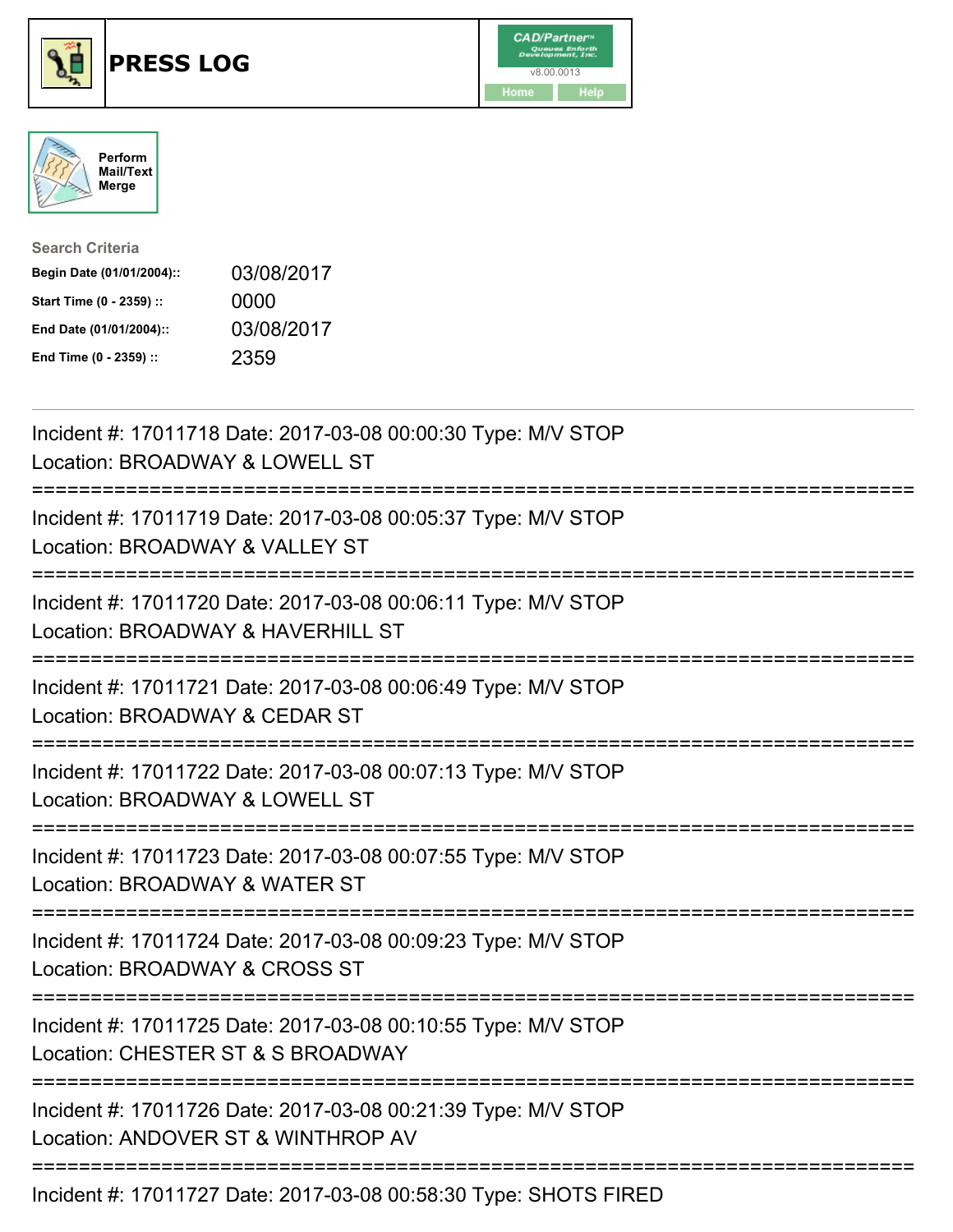





| <b>Search Criteria</b>    |            |
|---------------------------|------------|
| Begin Date (01/01/2004):: | 03/08/2017 |
| Start Time (0 - 2359) ::  | 0000       |
| End Date (01/01/2004)::   | 03/08/2017 |
| End Time (0 - 2359) ::    | 2359       |

| Incident #: 17011718 Date: 2017-03-08 00:00:30 Type: M/V STOP<br>Location: BROADWAY & LOWELL ST                                                                                                                                                                                                                                                                                      |
|--------------------------------------------------------------------------------------------------------------------------------------------------------------------------------------------------------------------------------------------------------------------------------------------------------------------------------------------------------------------------------------|
| Incident #: 17011719 Date: 2017-03-08 00:05:37 Type: M/V STOP<br>Location: BROADWAY & VALLEY ST                                                                                                                                                                                                                                                                                      |
| Incident #: 17011720 Date: 2017-03-08 00:06:11 Type: M/V STOP<br>Location: BROADWAY & HAVERHILL ST<br>:===========================                                                                                                                                                                                                                                                   |
| Incident #: 17011721 Date: 2017-03-08 00:06:49 Type: M/V STOP<br>Location: BROADWAY & CEDAR ST<br>;============================                                                                                                                                                                                                                                                      |
| Incident #: 17011722 Date: 2017-03-08 00:07:13 Type: M/V STOP<br>Location: BROADWAY & LOWELL ST                                                                                                                                                                                                                                                                                      |
| Incident #: 17011723 Date: 2017-03-08 00:07:55 Type: M/V STOP<br>Location: BROADWAY & WATER ST<br>:================================                                                                                                                                                                                                                                                  |
| Incident #: 17011724 Date: 2017-03-08 00:09:23 Type: M/V STOP<br>Location: BROADWAY & CROSS ST                                                                                                                                                                                                                                                                                       |
| Incident #: 17011725 Date: 2017-03-08 00:10:55 Type: M/V STOP<br>Location: CHESTER ST & S BROADWAY                                                                                                                                                                                                                                                                                   |
| Incident #: 17011726 Date: 2017-03-08 00:21:39 Type: M/V STOP<br>Location: ANDOVER ST & WINTHROP AV                                                                                                                                                                                                                                                                                  |
| $\overline{1}$ $\overline{1}$ $\overline{1}$ $\overline{1}$ $\overline{1}$ $\overline{2}$ $\overline{1}$ $\overline{2}$ $\overline{1}$ $\overline{2}$ $\overline{1}$ $\overline{2}$ $\overline{2}$ $\overline{1}$ $\overline{2}$ $\overline{2}$ $\overline{1}$ $\overline{2}$ $\overline{2}$ $\overline{2}$ $\overline{2}$ $\overline{2}$ $\overline{2}$ $\overline{2}$ $\overline{$ |

Incident #: 17011727 Date: 2017-03-08 00:58:30 Type: SHOTS FIRED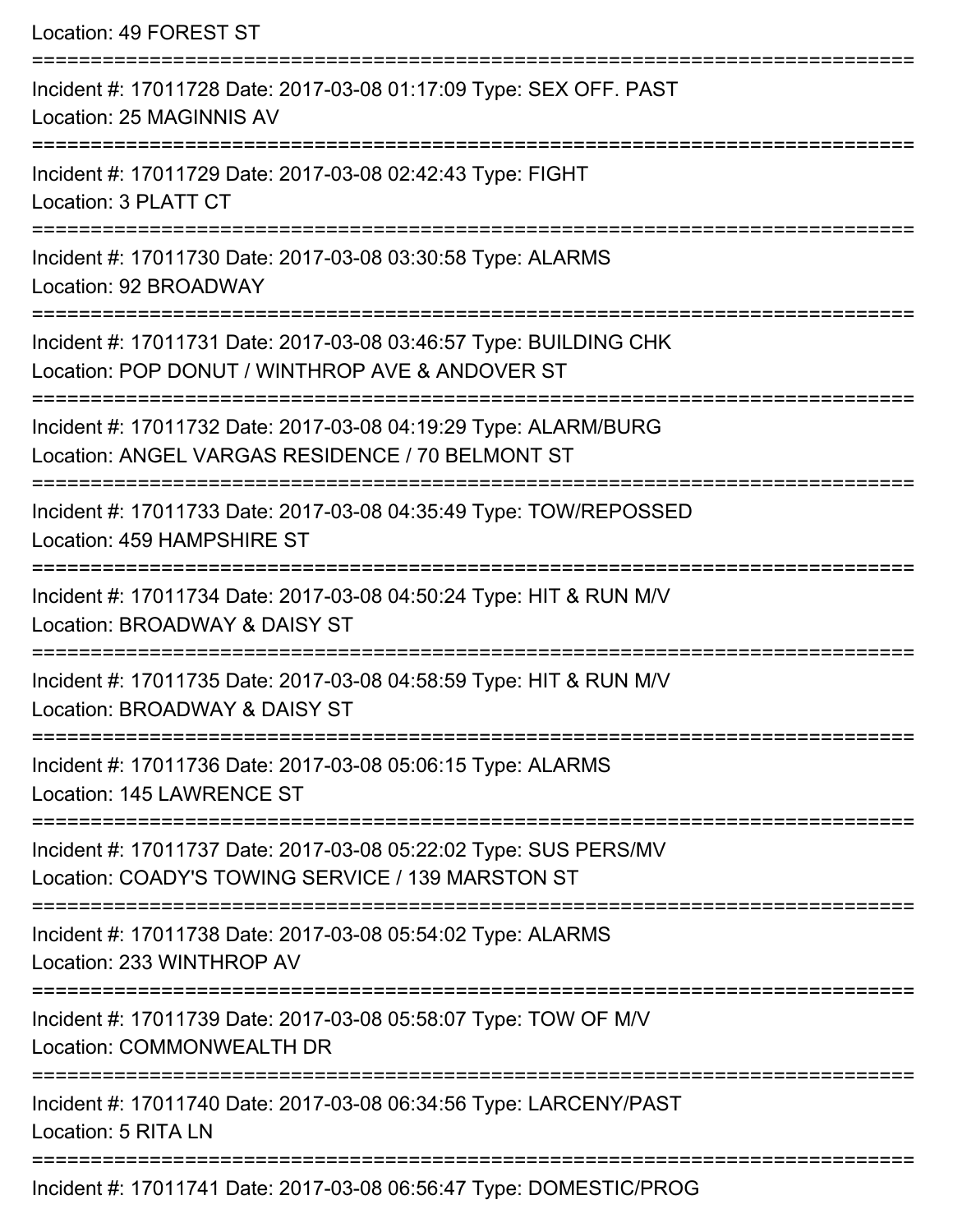Location: 49 FOREST ST =========================================================================== Incident #: 17011728 Date: 2017-03-08 01:17:09 Type: SEX OFF. PAST Location: 25 MAGINNIS AV =========================================================================== Incident #: 17011729 Date: 2017-03-08 02:42:43 Type: FIGHT Location: 3 PLATT CT =========================================================================== Incident #: 17011730 Date: 2017-03-08 03:30:58 Type: ALARMS Location: 92 BROADWAY =========================================================================== Incident #: 17011731 Date: 2017-03-08 03:46:57 Type: BUILDING CHK Location: POP DONUT / WINTHROP AVE & ANDOVER ST =========================================================================== Incident #: 17011732 Date: 2017-03-08 04:19:29 Type: ALARM/BURG Location: ANGEL VARGAS RESIDENCE / 70 BELMONT ST =========================================================================== Incident #: 17011733 Date: 2017-03-08 04:35:49 Type: TOW/REPOSSED Location: 459 HAMPSHIRE ST =========================================================================== Incident #: 17011734 Date: 2017-03-08 04:50:24 Type: HIT & RUN M/V Location: BROADWAY & DAISY ST =========================================================================== Incident #: 17011735 Date: 2017-03-08 04:58:59 Type: HIT & RUN M/V Location: BROADWAY & DAISY ST =========================================================================== Incident #: 17011736 Date: 2017-03-08 05:06:15 Type: ALARMS Location: 145 LAWRENCE ST =========================================================================== Incident #: 17011737 Date: 2017-03-08 05:22:02 Type: SUS PERS/MV Location: COADY'S TOWING SERVICE / 139 MARSTON ST =========================================================================== Incident #: 17011738 Date: 2017-03-08 05:54:02 Type: ALARMS Location: 233 WINTHROP AV =========================================================================== Incident #: 17011739 Date: 2017-03-08 05:58:07 Type: TOW OF M/V Location: COMMONWEALTH DR =========================================================================== Incident #: 17011740 Date: 2017-03-08 06:34:56 Type: LARCENY/PAST Location: 5 RITA LN ===========================================================================

Incident #: 17011741 Date: 2017-03-08 06:56:47 Type: DOMESTIC/PROG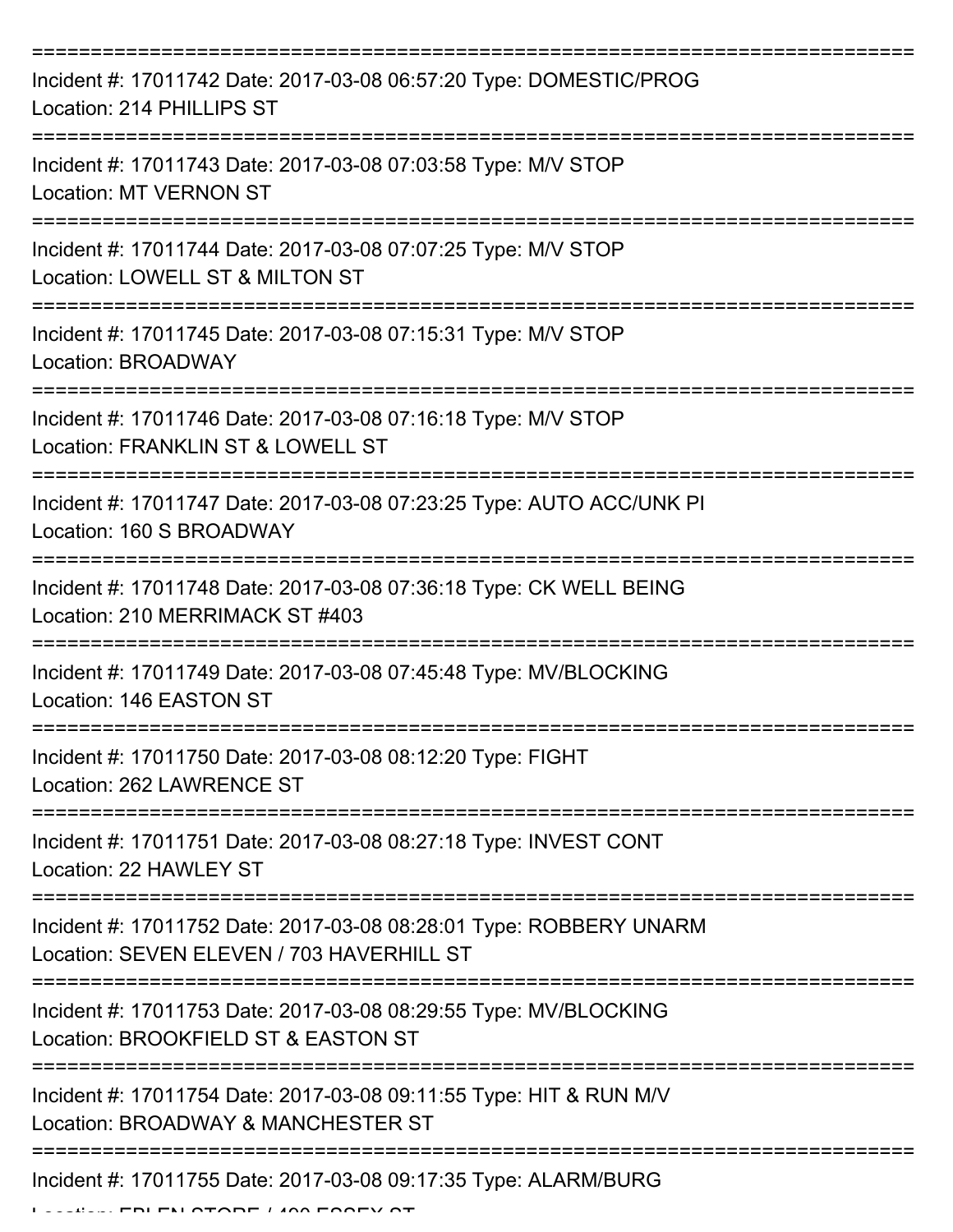| Incident #: 17011742 Date: 2017-03-08 06:57:20 Type: DOMESTIC/PROG<br>Location: 214 PHILLIPS ST                 |
|-----------------------------------------------------------------------------------------------------------------|
| Incident #: 17011743 Date: 2017-03-08 07:03:58 Type: M/V STOP<br><b>Location: MT VERNON ST</b>                  |
| Incident #: 17011744 Date: 2017-03-08 07:07:25 Type: M/V STOP<br>Location: LOWELL ST & MILTON ST                |
| Incident #: 17011745 Date: 2017-03-08 07:15:31 Type: M/V STOP<br>Location: BROADWAY                             |
| Incident #: 17011746 Date: 2017-03-08 07:16:18 Type: M/V STOP<br>Location: FRANKLIN ST & LOWELL ST              |
| Incident #: 17011747 Date: 2017-03-08 07:23:25 Type: AUTO ACC/UNK PI<br>Location: 160 S BROADWAY                |
| Incident #: 17011748 Date: 2017-03-08 07:36:18 Type: CK WELL BEING<br>Location: 210 MERRIMACK ST #403           |
| Incident #: 17011749 Date: 2017-03-08 07:45:48 Type: MV/BLOCKING<br>Location: 146 EASTON ST                     |
| Incident #: 17011750 Date: 2017-03-08 08:12:20 Type: FIGHT<br>Location: 262 LAWRENCE ST                         |
| Incident #: 17011751 Date: 2017-03-08 08:27:18 Type: INVEST CONT<br>Location: 22 HAWLEY ST                      |
| Incident #: 17011752 Date: 2017-03-08 08:28:01 Type: ROBBERY UNARM<br>Location: SEVEN ELEVEN / 703 HAVERHILL ST |
| Incident #: 17011753 Date: 2017-03-08 08:29:55 Type: MV/BLOCKING<br>Location: BROOKFIELD ST & EASTON ST         |
| Incident #: 17011754 Date: 2017-03-08 09:11:55 Type: HIT & RUN M/V<br>Location: BROADWAY & MANCHESTER ST        |
| Incident #: 17011755 Date: 2017-03-08 09:17:35 Type: ALARM/BURG                                                 |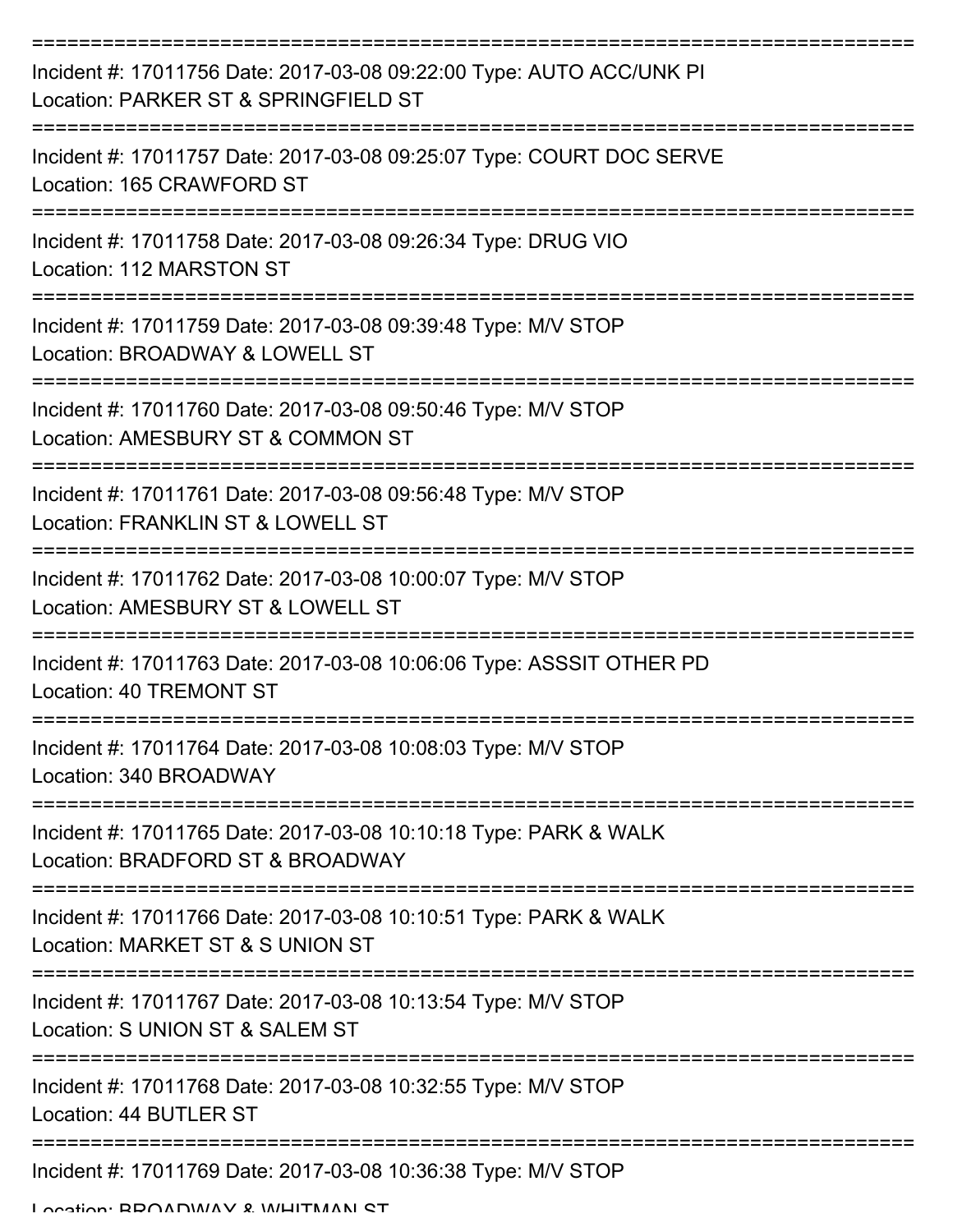| Incident #: 17011756 Date: 2017-03-08 09:22:00 Type: AUTO ACC/UNK PI<br>Location: PARKER ST & SPRINGFIELD ST        |
|---------------------------------------------------------------------------------------------------------------------|
| Incident #: 17011757 Date: 2017-03-08 09:25:07 Type: COURT DOC SERVE<br>Location: 165 CRAWFORD ST                   |
| Incident #: 17011758 Date: 2017-03-08 09:26:34 Type: DRUG VIO<br>Location: 112 MARSTON ST                           |
| Incident #: 17011759 Date: 2017-03-08 09:39:48 Type: M/V STOP<br>Location: BROADWAY & LOWELL ST                     |
| Incident #: 17011760 Date: 2017-03-08 09:50:46 Type: M/V STOP<br>Location: AMESBURY ST & COMMON ST                  |
| Incident #: 17011761 Date: 2017-03-08 09:56:48 Type: M/V STOP<br>Location: FRANKLIN ST & LOWELL ST                  |
| Incident #: 17011762 Date: 2017-03-08 10:00:07 Type: M/V STOP<br>Location: AMESBURY ST & LOWELL ST                  |
| Incident #: 17011763 Date: 2017-03-08 10:06:06 Type: ASSSIT OTHER PD<br>Location: 40 TREMONT ST                     |
| Incident #: 17011764 Date: 2017-03-08 10:08:03 Type: M/V STOP<br>Location: 340 BROADWAY                             |
| -----------<br>Incident #: 17011765 Date: 2017-03-08 10:10:18 Type: PARK & WALK<br>Location: BRADFORD ST & BROADWAY |
| Incident #: 17011766 Date: 2017-03-08 10:10:51 Type: PARK & WALK<br>Location: MARKET ST & S UNION ST                |
| Incident #: 17011767 Date: 2017-03-08 10:13:54 Type: M/V STOP<br>Location: S UNION ST & SALEM ST                    |
| Incident #: 17011768 Date: 2017-03-08 10:32:55 Type: M/V STOP<br>Location: 44 BUTLER ST                             |
| Incident #: 17011769 Date: 2017-03-08 10:36:38 Type: M/V STOP                                                       |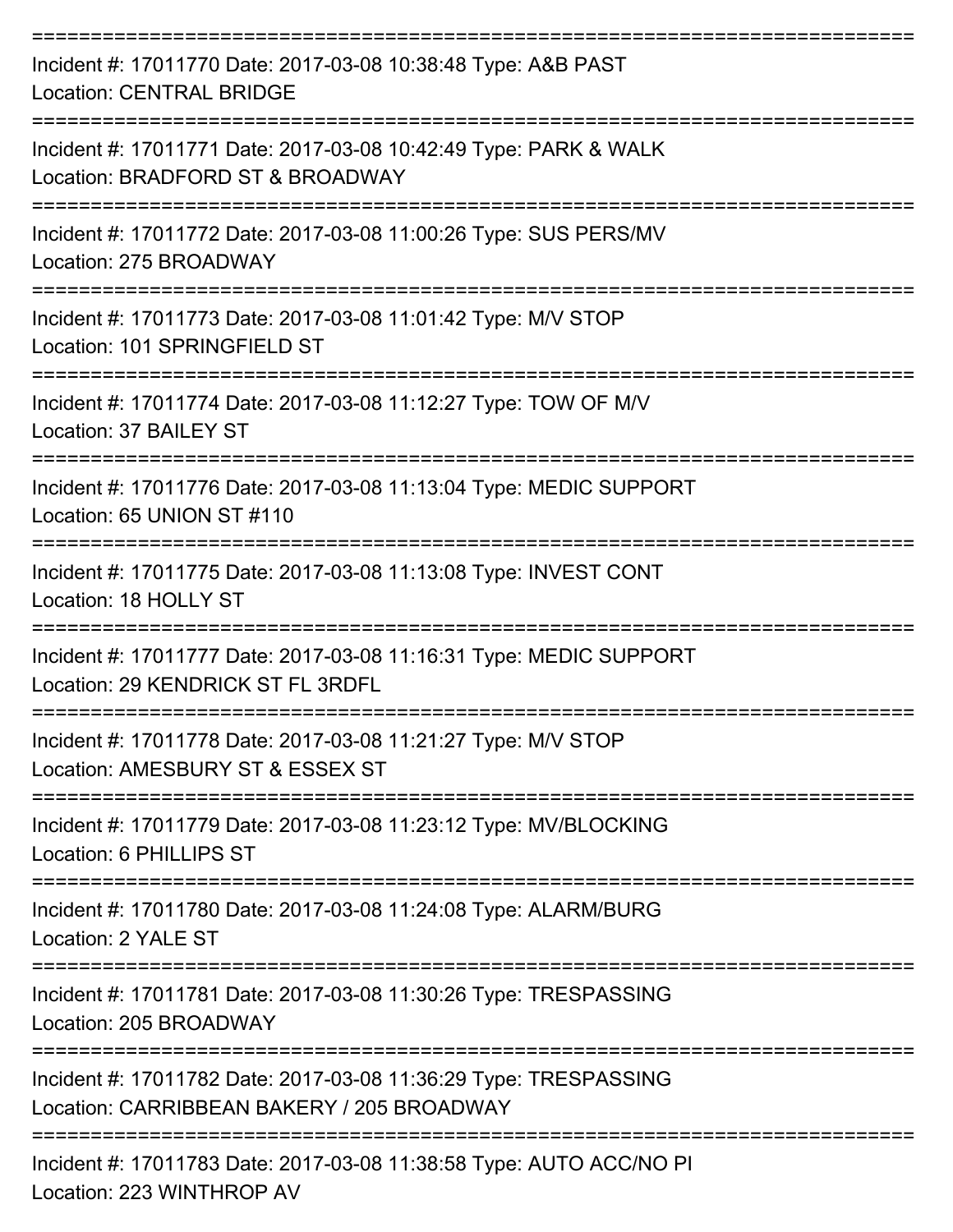| Incident #: 17011770 Date: 2017-03-08 10:38:48 Type: A&B PAST<br><b>Location: CENTRAL BRIDGE</b><br>---------------- |
|----------------------------------------------------------------------------------------------------------------------|
| Incident #: 17011771 Date: 2017-03-08 10:42:49 Type: PARK & WALK<br>Location: BRADFORD ST & BROADWAY                 |
| Incident #: 17011772 Date: 2017-03-08 11:00:26 Type: SUS PERS/MV<br>Location: 275 BROADWAY                           |
| Incident #: 17011773 Date: 2017-03-08 11:01:42 Type: M/V STOP<br>Location: 101 SPRINGFIELD ST                        |
| Incident #: 17011774 Date: 2017-03-08 11:12:27 Type: TOW OF M/V<br>Location: 37 BAILEY ST                            |
| Incident #: 17011776 Date: 2017-03-08 11:13:04 Type: MEDIC SUPPORT<br>Location: 65 UNION ST #110                     |
| Incident #: 17011775 Date: 2017-03-08 11:13:08 Type: INVEST CONT<br>Location: 18 HOLLY ST                            |
| Incident #: 17011777 Date: 2017-03-08 11:16:31 Type: MEDIC SUPPORT<br>Location: 29 KENDRICK ST FL 3RDFL              |
| Incident #: 17011778 Date: 2017-03-08 11:21:27 Type: M/V STOP<br>Location: AMESBURY ST & ESSEX ST                    |
| Incident #: 17011779 Date: 2017-03-08 11:23:12 Type: MV/BLOCKING<br>Location: 6 PHILLIPS ST                          |
| Incident #: 17011780 Date: 2017-03-08 11:24:08 Type: ALARM/BURG<br>Location: 2 YALE ST                               |
| Incident #: 17011781 Date: 2017-03-08 11:30:26 Type: TRESPASSING<br>Location: 205 BROADWAY                           |
| Incident #: 17011782 Date: 2017-03-08 11:36:29 Type: TRESPASSING<br>Location: CARRIBBEAN BAKERY / 205 BROADWAY       |
| Incident #: 17011783 Date: 2017-03-08 11:38:58 Type: AUTO ACC/NO PI<br>Location: 223 WINTHROP AV                     |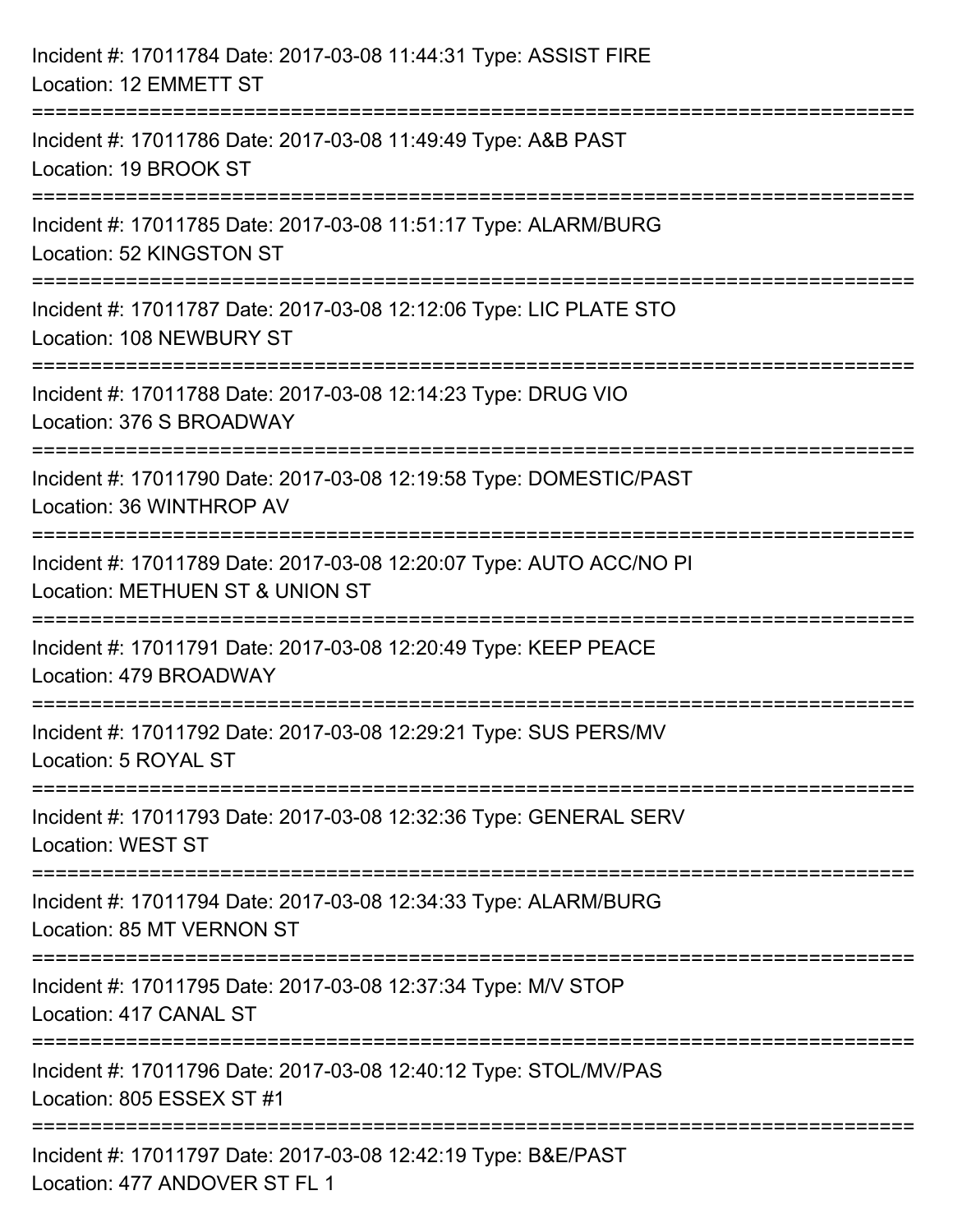| Incident #: 17011784 Date: 2017-03-08 11:44:31 Type: ASSIST FIRE<br>Location: 12 EMMETT ST                                                                      |
|-----------------------------------------------------------------------------------------------------------------------------------------------------------------|
| Incident #: 17011786 Date: 2017-03-08 11:49:49 Type: A&B PAST<br>Location: 19 BROOK ST                                                                          |
| Incident #: 17011785 Date: 2017-03-08 11:51:17 Type: ALARM/BURG<br>Location: 52 KINGSTON ST<br>===================================<br>========================= |
| Incident #: 17011787 Date: 2017-03-08 12:12:06 Type: LIC PLATE STO<br>Location: 108 NEWBURY ST                                                                  |
| Incident #: 17011788 Date: 2017-03-08 12:14:23 Type: DRUG VIO<br>Location: 376 S BROADWAY                                                                       |
| Incident #: 17011790 Date: 2017-03-08 12:19:58 Type: DOMESTIC/PAST<br>Location: 36 WINTHROP AV                                                                  |
| Incident #: 17011789 Date: 2017-03-08 12:20:07 Type: AUTO ACC/NO PI<br>Location: METHUEN ST & UNION ST                                                          |
| Incident #: 17011791 Date: 2017-03-08 12:20:49 Type: KEEP PEACE<br>Location: 479 BROADWAY                                                                       |
| Incident #: 17011792 Date: 2017-03-08 12:29:21 Type: SUS PERS/MV<br>Location: 5 ROYAL ST                                                                        |
| Incident #: 17011793 Date: 2017-03-08 12:32:36 Type: GENERAL SERV<br><b>Location: WEST ST</b>                                                                   |
| Incident #: 17011794 Date: 2017-03-08 12:34:33 Type: ALARM/BURG<br>Location: 85 MT VERNON ST                                                                    |
| Incident #: 17011795 Date: 2017-03-08 12:37:34 Type: M/V STOP<br>Location: 417 CANAL ST                                                                         |
| Incident #: 17011796 Date: 2017-03-08 12:40:12 Type: STOL/MV/PAS<br>Location: 805 ESSEX ST #1                                                                   |
| Incident #: 17011797 Date: 2017-03-08 12:42:19 Type: B&E/PAST<br>Location: 477 ANDOVER ST FL 1                                                                  |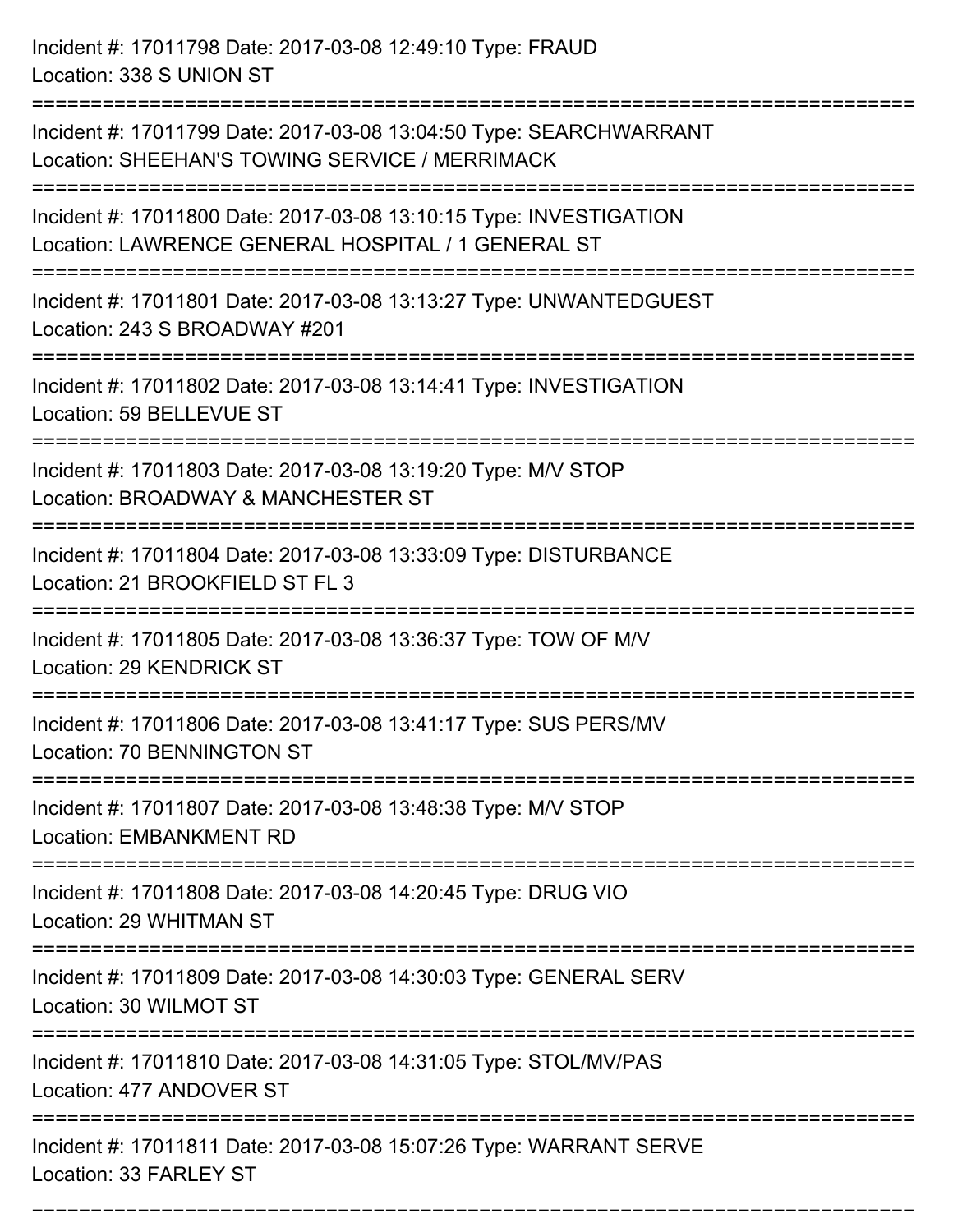Incident #: 17011798 Date: 2017-03-08 12:49:10 Type: FRAUD Location: 338 S UNION ST

Incident #: 17011799 Date: 2017-03-08 13:04:50 Type: SEARCHWARRANT Location: SHEEHAN'S TOWING SERVICE / MERRIMACK

Incident #: 17011800 Date: 2017-03-08 13:10:15 Type: INVESTIGATION

Location: LAWRENCE GENERAL HOSPITAL / 1 GENERAL ST

===========================================================================

===========================================================================

===========================================================================

Incident #: 17011801 Date: 2017-03-08 13:13:27 Type: UNWANTEDGUEST Location: 243 S BROADWAY #201

===========================================================================

Incident #: 17011802 Date: 2017-03-08 13:14:41 Type: INVESTIGATION Location: 59 BELLEVUE ST

===========================================================================

Incident #: 17011803 Date: 2017-03-08 13:19:20 Type: M/V STOP Location: BROADWAY & MANCHESTER ST

===========================================================================

Incident #: 17011804 Date: 2017-03-08 13:33:09 Type: DISTURBANCE Location: 21 BROOKFIELD ST FL 3

===========================================================================

Incident #: 17011805 Date: 2017-03-08 13:36:37 Type: TOW OF M/V Location: 29 KENDRICK ST

===========================================================================

Incident #: 17011806 Date: 2017-03-08 13:41:17 Type: SUS PERS/MV Location: 70 BENNINGTON ST

===========================================================================

Incident #: 17011807 Date: 2017-03-08 13:48:38 Type: M/V STOP Location: EMBANKMENT RD

===========================================================================

Incident #: 17011808 Date: 2017-03-08 14:20:45 Type: DRUG VIO

Location: 29 WHITMAN ST

===========================================================================

Incident #: 17011809 Date: 2017-03-08 14:30:03 Type: GENERAL SERV Location: 30 WILMOT ST

===========================================================================

Incident #: 17011810 Date: 2017-03-08 14:31:05 Type: STOL/MV/PAS

Location: 477 ANDOVER ST

===========================================================================

===========================================================================

Incident #: 17011811 Date: 2017-03-08 15:07:26 Type: WARRANT SERVE Location: 33 FARLEY ST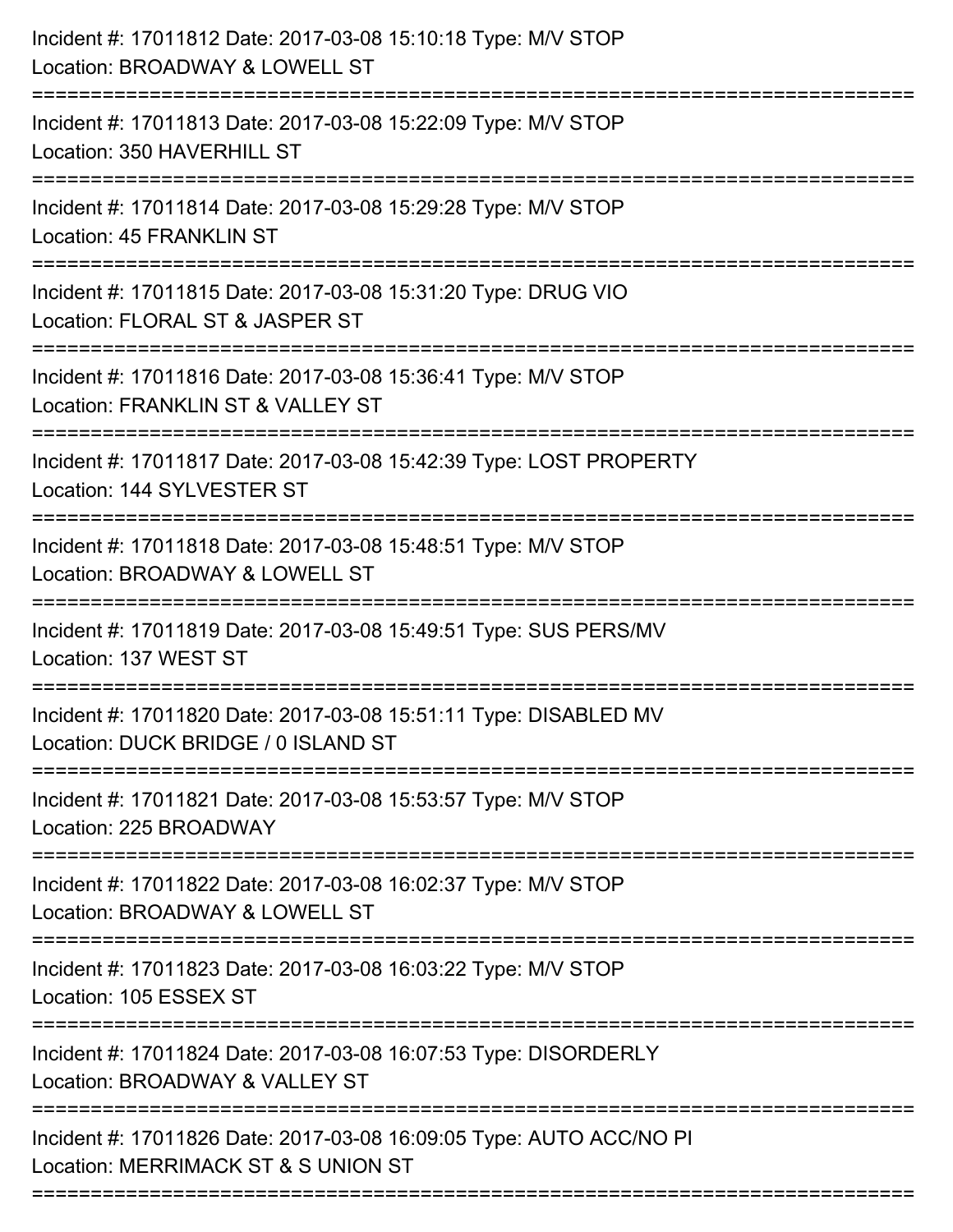| Incident #: 17011812 Date: 2017-03-08 15:10:18 Type: M/V STOP<br>Location: BROADWAY & LOWELL ST                                |
|--------------------------------------------------------------------------------------------------------------------------------|
| Incident #: 17011813 Date: 2017-03-08 15:22:09 Type: M/V STOP<br>Location: 350 HAVERHILL ST                                    |
| Incident #: 17011814 Date: 2017-03-08 15:29:28 Type: M/V STOP<br><b>Location: 45 FRANKLIN ST</b><br>-------------------------- |
| Incident #: 17011815 Date: 2017-03-08 15:31:20 Type: DRUG VIO<br>Location: FLORAL ST & JASPER ST                               |
| Incident #: 17011816 Date: 2017-03-08 15:36:41 Type: M/V STOP<br>Location: FRANKLIN ST & VALLEY ST                             |
| Incident #: 17011817 Date: 2017-03-08 15:42:39 Type: LOST PROPERTY<br>Location: 144 SYLVESTER ST                               |
| Incident #: 17011818 Date: 2017-03-08 15:48:51 Type: M/V STOP<br>Location: BROADWAY & LOWELL ST                                |
| Incident #: 17011819 Date: 2017-03-08 15:49:51 Type: SUS PERS/MV<br>Location: 137 WEST ST                                      |
| Incident #: 17011820 Date: 2017-03-08 15:51:11 Type: DISABLED MV<br>Location: DUCK BRIDGE / 0 ISLAND ST                        |
| Incident #: 17011821 Date: 2017-03-08 15:53:57 Type: M/V STOP<br>Location: 225 BROADWAY                                        |
| Incident #: 17011822 Date: 2017-03-08 16:02:37 Type: M/V STOP<br>Location: BROADWAY & LOWELL ST                                |
| Incident #: 17011823 Date: 2017-03-08 16:03:22 Type: M/V STOP<br>Location: 105 ESSEX ST                                        |
| Incident #: 17011824 Date: 2017-03-08 16:07:53 Type: DISORDERLY<br>Location: BROADWAY & VALLEY ST                              |
| Incident #: 17011826 Date: 2017-03-08 16:09:05 Type: AUTO ACC/NO PI<br>Location: MERRIMACK ST & S UNION ST                     |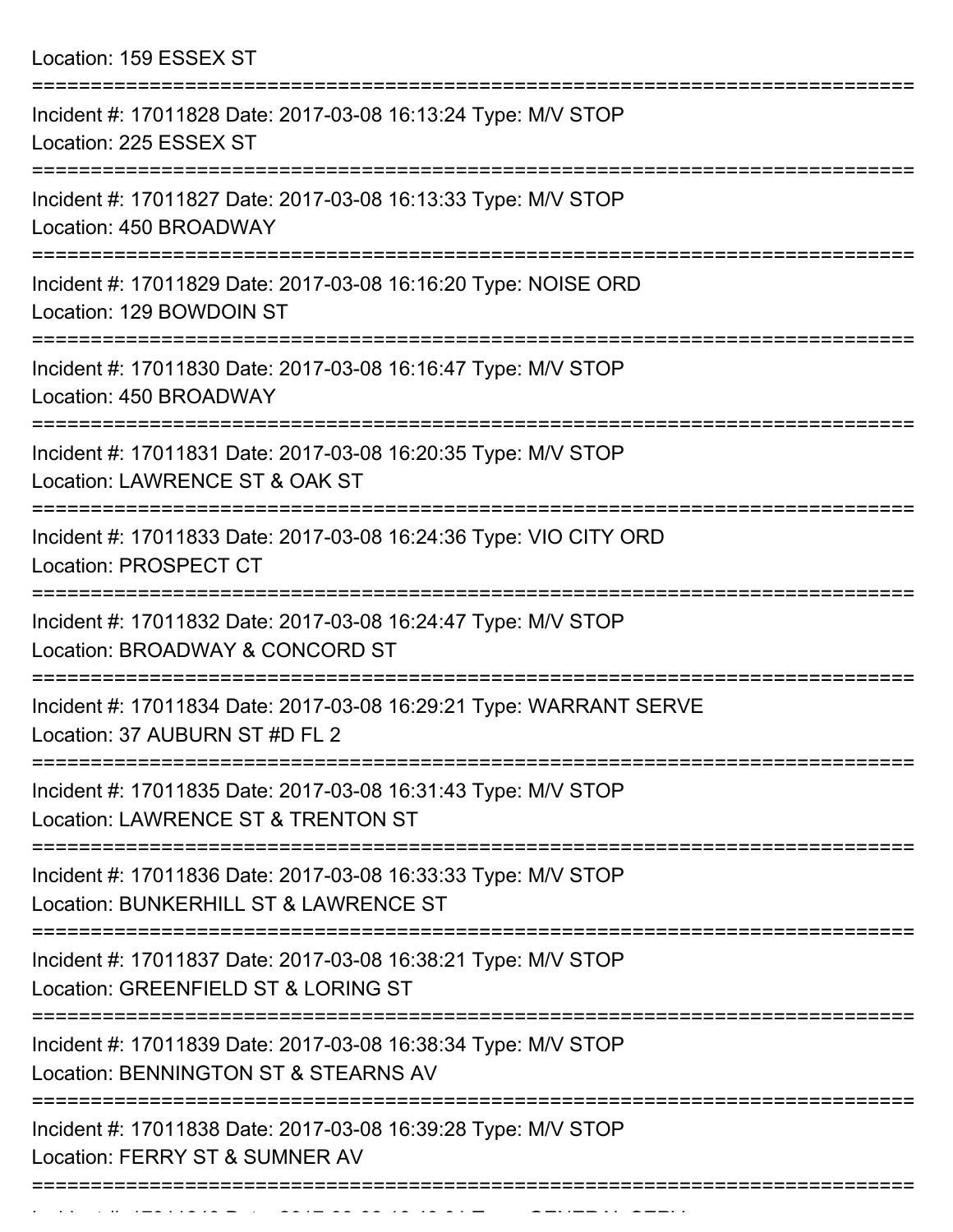| Location: 159 ESSEX ST                                                                                         |
|----------------------------------------------------------------------------------------------------------------|
| Incident #: 17011828 Date: 2017-03-08 16:13:24 Type: M/V STOP<br>Location: 225 ESSEX ST<br>==============      |
| Incident #: 17011827 Date: 2017-03-08 16:13:33 Type: M/V STOP<br>Location: 450 BROADWAY                        |
| Incident #: 17011829 Date: 2017-03-08 16:16:20 Type: NOISE ORD<br>Location: 129 BOWDOIN ST<br>================ |
| Incident #: 17011830 Date: 2017-03-08 16:16:47 Type: M/V STOP<br>Location: 450 BROADWAY                        |
| Incident #: 17011831 Date: 2017-03-08 16:20:35 Type: M/V STOP<br>Location: LAWRENCE ST & OAK ST                |
| Incident #: 17011833 Date: 2017-03-08 16:24:36 Type: VIO CITY ORD<br><b>Location: PROSPECT CT</b>              |
| Incident #: 17011832 Date: 2017-03-08 16:24:47 Type: M/V STOP<br>Location: BROADWAY & CONCORD ST               |
| Incident #: 17011834 Date: 2017-03-08 16:29:21 Type: WARRANT SERVE<br>Location: 37 AUBURN ST #D FL 2           |
| Incident #: 17011835 Date: 2017-03-08 16:31:43 Type: M/V STOP<br>Location: LAWRENCE ST & TRENTON ST            |
| Incident #: 17011836 Date: 2017-03-08 16:33:33 Type: M/V STOP<br>Location: BUNKERHILL ST & LAWRENCE ST         |
| Incident #: 17011837 Date: 2017-03-08 16:38:21 Type: M/V STOP<br>Location: GREENFIELD ST & LORING ST           |
| Incident #: 17011839 Date: 2017-03-08 16:38:34 Type: M/V STOP<br>Location: BENNINGTON ST & STEARNS AV          |
| Incident #: 17011838 Date: 2017-03-08 16:39:28 Type: M/V STOP<br>Location: FERRY ST & SUMNER AV                |

Incident #: 17011840 Date: 2017 03 08 16:40:01 Type: 2017 03 08 16:40:01 Type: GENERAL SERVICE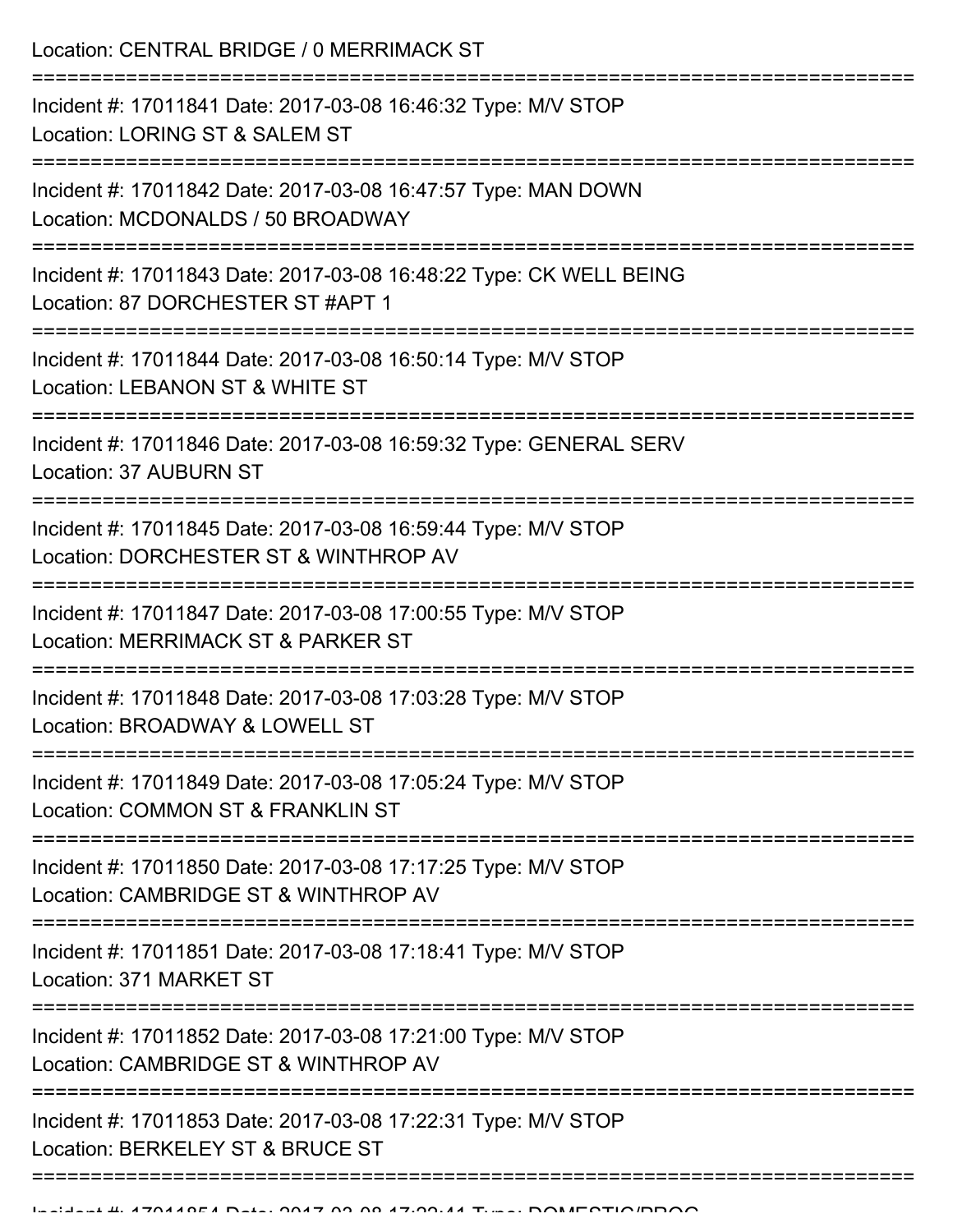Location: CENTRAL BRIDGE / 0 MERRIMACK ST =========================================================================== Incident #: 17011841 Date: 2017-03-08 16:46:32 Type: M/V STOP Location: LORING ST & SALEM ST =========================================================================== Incident #: 17011842 Date: 2017-03-08 16:47:57 Type: MAN DOWN Location: MCDONALDS / 50 BROADWAY =========================================================================== Incident #: 17011843 Date: 2017-03-08 16:48:22 Type: CK WELL BEING Location: 87 DORCHESTER ST #APT 1 =========================================================================== Incident #: 17011844 Date: 2017-03-08 16:50:14 Type: M/V STOP Location: LEBANON ST & WHITE ST =========================================================================== Incident #: 17011846 Date: 2017-03-08 16:59:32 Type: GENERAL SERV Location: 37 AUBURN ST =========================================================================== Incident #: 17011845 Date: 2017-03-08 16:59:44 Type: M/V STOP Location: DORCHESTER ST & WINTHROP AV =========================================================================== Incident #: 17011847 Date: 2017-03-08 17:00:55 Type: M/V STOP Location: MERRIMACK ST & PARKER ST =========================================================================== Incident #: 17011848 Date: 2017-03-08 17:03:28 Type: M/V STOP Location: BROADWAY & LOWELL ST =========================================================================== Incident #: 17011849 Date: 2017-03-08 17:05:24 Type: M/V STOP Location: COMMON ST & FRANKLIN ST =========================================================================== Incident #: 17011850 Date: 2017-03-08 17:17:25 Type: M/V STOP Location: CAMBRIDGE ST & WINTHROP AV =========================================================================== Incident #: 17011851 Date: 2017-03-08 17:18:41 Type: M/V STOP Location: 371 MARKET ST =========================================================================== Incident #: 17011852 Date: 2017-03-08 17:21:00 Type: M/V STOP Location: CAMBRIDGE ST & WINTHROP AV =========================================================================== Incident #: 17011853 Date: 2017-03-08 17:22:31 Type: M/V STOP Location: BERKELEY ST & BRUCE ST ===========================================================================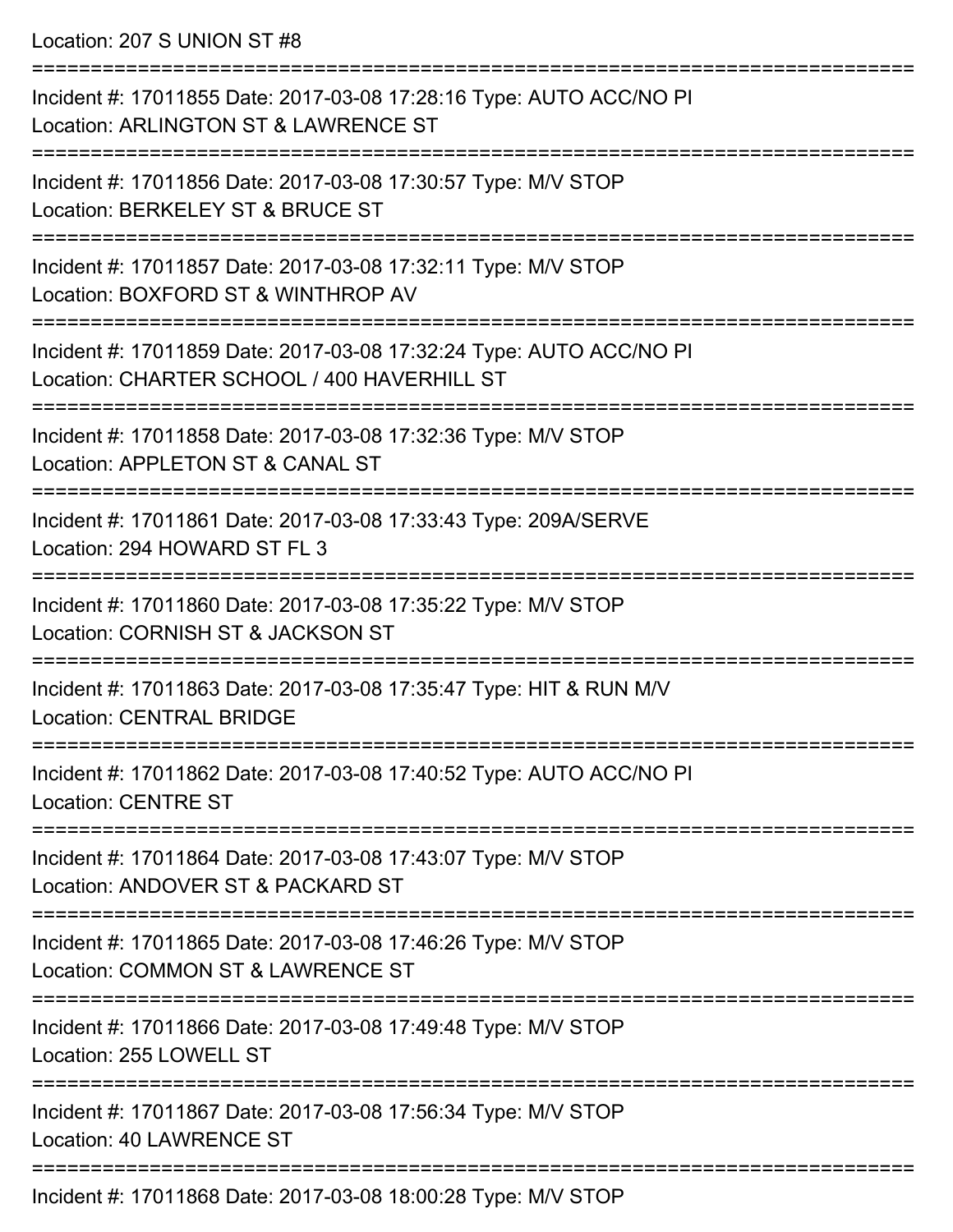Location: 207 S UNION ST #8

| Incident #: 17011855 Date: 2017-03-08 17:28:16 Type: AUTO ACC/NO PI<br>Location: ARLINGTON ST & LAWRENCE ST              |
|--------------------------------------------------------------------------------------------------------------------------|
| Incident #: 17011856 Date: 2017-03-08 17:30:57 Type: M/V STOP<br>Location: BERKELEY ST & BRUCE ST                        |
| Incident #: 17011857 Date: 2017-03-08 17:32:11 Type: M/V STOP<br>Location: BOXFORD ST & WINTHROP AV                      |
| Incident #: 17011859 Date: 2017-03-08 17:32:24 Type: AUTO ACC/NO PI<br>Location: CHARTER SCHOOL / 400 HAVERHILL ST       |
| Incident #: 17011858 Date: 2017-03-08 17:32:36 Type: M/V STOP<br>Location: APPLETON ST & CANAL ST                        |
| Incident #: 17011861 Date: 2017-03-08 17:33:43 Type: 209A/SERVE<br>Location: 294 HOWARD ST FL 3                          |
| Incident #: 17011860 Date: 2017-03-08 17:35:22 Type: M/V STOP<br>Location: CORNISH ST & JACKSON ST                       |
| Incident #: 17011863 Date: 2017-03-08 17:35:47 Type: HIT & RUN M/V<br><b>Location: CENTRAL BRIDGE</b>                    |
| Incident #: 17011862 Date: 2017-03-08 17:40:52 Type: AUTO ACC/NO PI<br><b>Location: CENTRE ST</b>                        |
| ==================<br>Incident #: 17011864 Date: 2017-03-08 17:43:07 Type: M/V STOP<br>Location: ANDOVER ST & PACKARD ST |
| Incident #: 17011865 Date: 2017-03-08 17:46:26 Type: M/V STOP<br>Location: COMMON ST & LAWRENCE ST                       |
| Incident #: 17011866 Date: 2017-03-08 17:49:48 Type: M/V STOP<br>Location: 255 LOWELL ST                                 |
| Incident #: 17011867 Date: 2017-03-08 17:56:34 Type: M/V STOP<br>Location: 40 LAWRENCE ST                                |
| Incident #: 17011868 Date: 2017-03-08 18:00:28 Type: M/V STOP                                                            |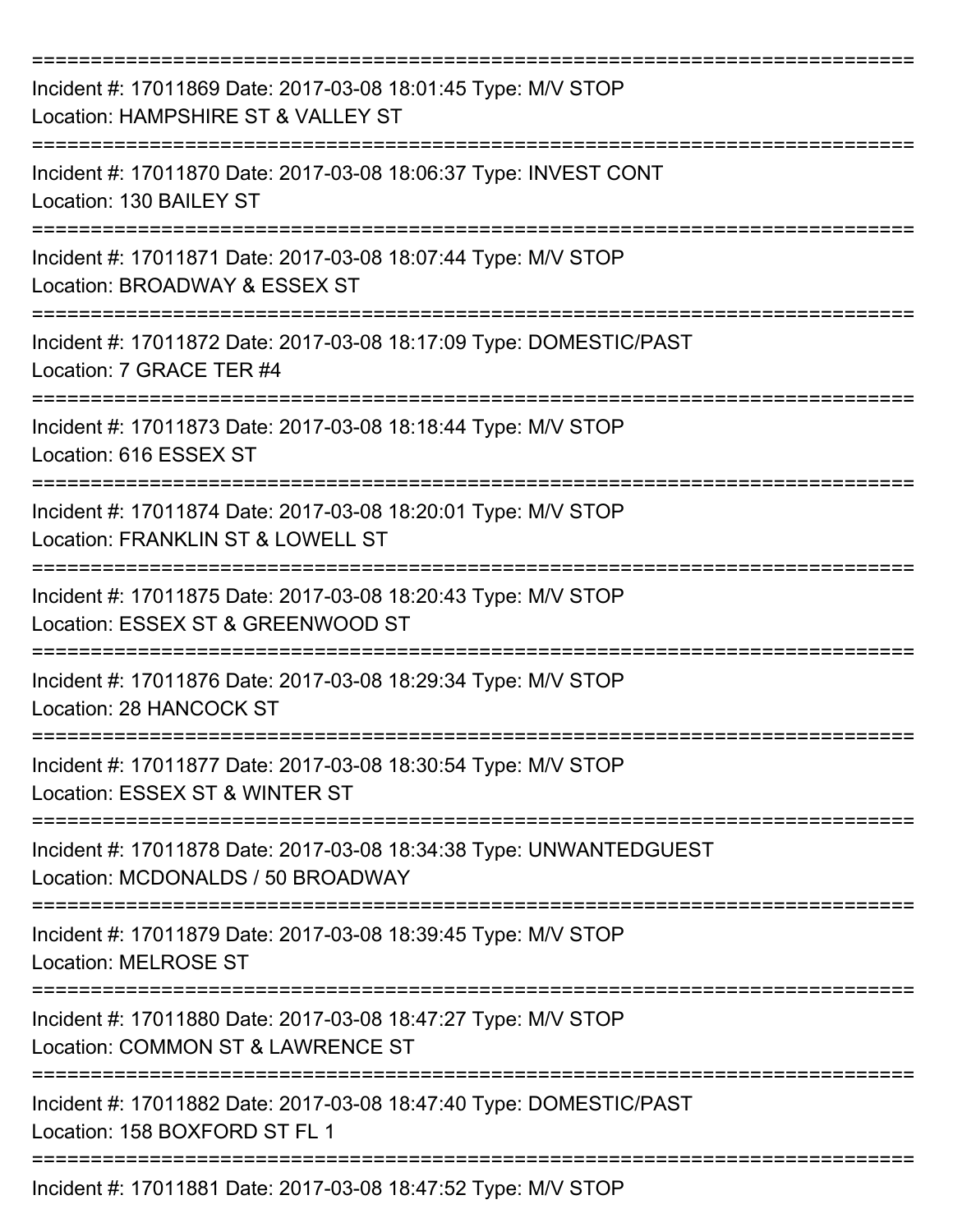| Incident #: 17011869 Date: 2017-03-08 18:01:45 Type: M/V STOP<br>Location: HAMPSHIRE ST & VALLEY ST     |
|---------------------------------------------------------------------------------------------------------|
| Incident #: 17011870 Date: 2017-03-08 18:06:37 Type: INVEST CONT<br>Location: 130 BAILEY ST             |
| Incident #: 17011871 Date: 2017-03-08 18:07:44 Type: M/V STOP<br>Location: BROADWAY & ESSEX ST          |
| Incident #: 17011872 Date: 2017-03-08 18:17:09 Type: DOMESTIC/PAST<br>Location: 7 GRACE TER #4          |
| Incident #: 17011873 Date: 2017-03-08 18:18:44 Type: M/V STOP<br>Location: 616 ESSEX ST                 |
| Incident #: 17011874 Date: 2017-03-08 18:20:01 Type: M/V STOP<br>Location: FRANKLIN ST & LOWELL ST      |
| Incident #: 17011875 Date: 2017-03-08 18:20:43 Type: M/V STOP<br>Location: ESSEX ST & GREENWOOD ST      |
| Incident #: 17011876 Date: 2017-03-08 18:29:34 Type: M/V STOP<br>Location: 28 HANCOCK ST                |
| Incident #: 17011877 Date: 2017-03-08 18:30:54 Type: M/V STOP<br>Location: ESSEX ST & WINTER ST         |
| Incident #: 17011878 Date: 2017-03-08 18:34:38 Type: UNWANTEDGUEST<br>Location: MCDONALDS / 50 BROADWAY |
| Incident #: 17011879 Date: 2017-03-08 18:39:45 Type: M/V STOP<br><b>Location: MELROSE ST</b>            |
| Incident #: 17011880 Date: 2017-03-08 18:47:27 Type: M/V STOP<br>Location: COMMON ST & LAWRENCE ST      |
| Incident #: 17011882 Date: 2017-03-08 18:47:40 Type: DOMESTIC/PAST<br>Location: 158 BOXFORD ST FL 1     |
| Incident #: 17011881 Date: 2017-03-08 18:47:52 Type: M/V STOP                                           |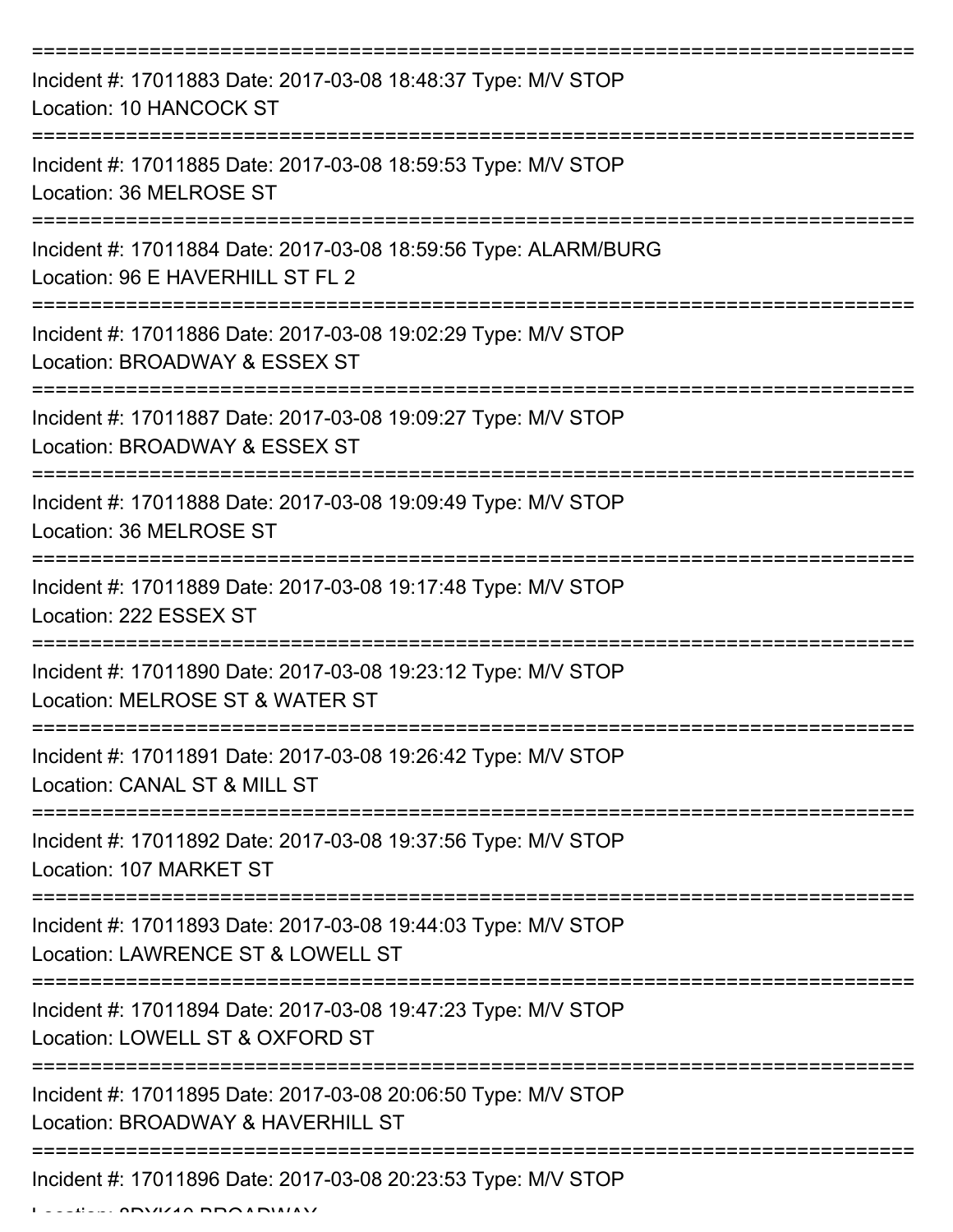| Incident #: 17011883 Date: 2017-03-08 18:48:37 Type: M/V STOP<br>Location: 10 HANCOCK ST            |
|-----------------------------------------------------------------------------------------------------|
| Incident #: 17011885 Date: 2017-03-08 18:59:53 Type: M/V STOP<br>Location: 36 MELROSE ST            |
| Incident #: 17011884 Date: 2017-03-08 18:59:56 Type: ALARM/BURG<br>Location: 96 E HAVERHILL ST FL 2 |
| Incident #: 17011886 Date: 2017-03-08 19:02:29 Type: M/V STOP<br>Location: BROADWAY & ESSEX ST      |
| Incident #: 17011887 Date: 2017-03-08 19:09:27 Type: M/V STOP<br>Location: BROADWAY & ESSEX ST      |
| Incident #: 17011888 Date: 2017-03-08 19:09:49 Type: M/V STOP<br>Location: 36 MELROSE ST            |
| Incident #: 17011889 Date: 2017-03-08 19:17:48 Type: M/V STOP<br>Location: 222 ESSEX ST             |
| Incident #: 17011890 Date: 2017-03-08 19:23:12 Type: M/V STOP<br>Location: MELROSE ST & WATER ST    |
| Incident #: 17011891 Date: 2017-03-08 19:26:42 Type: M/V STOP<br>Location: CANAL ST & MILL ST       |
| Incident #: 17011892 Date: 2017-03-08 19:37:56 Type: M/V STOP<br>Location: 107 MARKET ST            |
| Incident #: 17011893 Date: 2017-03-08 19:44:03 Type: M/V STOP<br>Location: LAWRENCE ST & LOWELL ST  |
| Incident #: 17011894 Date: 2017-03-08 19:47:23 Type: M/V STOP<br>Location: LOWELL ST & OXFORD ST    |
| Incident #: 17011895 Date: 2017-03-08 20:06:50 Type: M/V STOP<br>Location: BROADWAY & HAVERHILL ST  |
| Incident #: 17011896 Date: 2017-03-08 20:23:53 Type: M/V STOP                                       |

 $L = L/L$ , 8DYKI248 BROADWAY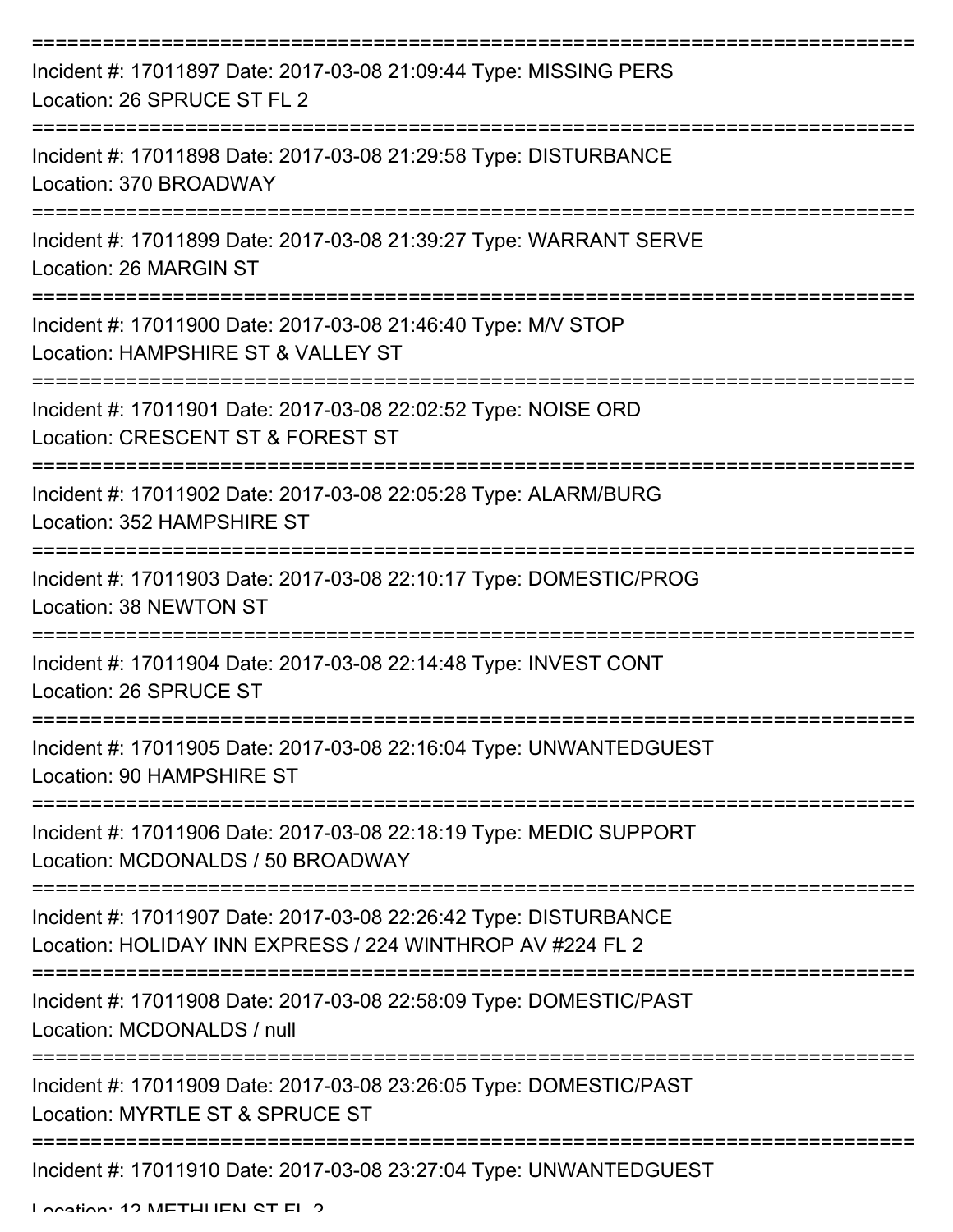| Incident #: 17011897 Date: 2017-03-08 21:09:44 Type: MISSING PERS<br>Location: 26 SPRUCE ST FL 2                               |
|--------------------------------------------------------------------------------------------------------------------------------|
| Incident #: 17011898 Date: 2017-03-08 21:29:58 Type: DISTURBANCE<br>Location: 370 BROADWAY                                     |
| Incident #: 17011899 Date: 2017-03-08 21:39:27 Type: WARRANT SERVE<br>Location: 26 MARGIN ST                                   |
| Incident #: 17011900 Date: 2017-03-08 21:46:40 Type: M/V STOP<br>Location: HAMPSHIRE ST & VALLEY ST                            |
| Incident #: 17011901 Date: 2017-03-08 22:02:52 Type: NOISE ORD<br>Location: CRESCENT ST & FOREST ST                            |
| Incident #: 17011902 Date: 2017-03-08 22:05:28 Type: ALARM/BURG<br>Location: 352 HAMPSHIRE ST                                  |
| Incident #: 17011903 Date: 2017-03-08 22:10:17 Type: DOMESTIC/PROG<br>Location: 38 NEWTON ST                                   |
| Incident #: 17011904 Date: 2017-03-08 22:14:48 Type: INVEST CONT<br>Location: 26 SPRUCE ST<br>-------------------              |
| ---------------------------<br>Incident #: 17011905 Date: 2017-03-08 22:16:04 Type: UNWANTEDGUEST<br>Location: 90 HAMPSHIRE ST |
| Incident #: 17011906 Date: 2017-03-08 22:18:19 Type: MEDIC SUPPORT<br>Location: MCDONALDS / 50 BROADWAY                        |
| Incident #: 17011907 Date: 2017-03-08 22:26:42 Type: DISTURBANCE<br>Location: HOLIDAY INN EXPRESS / 224 WINTHROP AV #224 FL 2  |
| Incident #: 17011908 Date: 2017-03-08 22:58:09 Type: DOMESTIC/PAST<br>Location: MCDONALDS / null                               |
| Incident #: 17011909 Date: 2017-03-08 23:26:05 Type: DOMESTIC/PAST<br>Location: MYRTLE ST & SPRUCE ST                          |
| Incident #: 17011910 Date: 2017-03-08 23:27:04 Type: UNWANTEDGUEST                                                             |

Location: 12 METHHEN ST FL 2